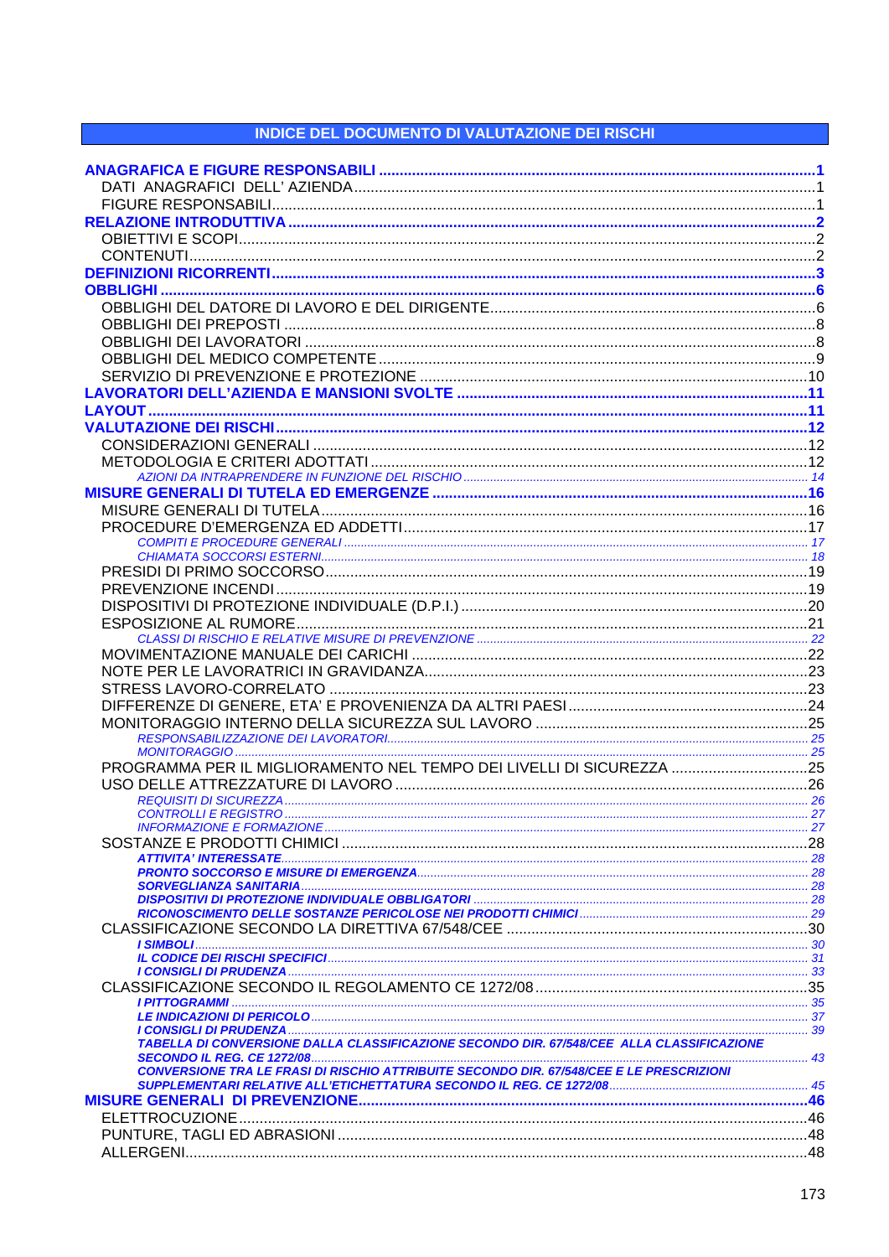## **INDICE DEL DOCUMENTO DI VALUTAZIONE DEI RISCHI**

| PROGRAMMA PER IL MIGLIORAMENTO NEL TEMPO DEI LIVELLI DI SICUREZZA 25                            |  |
|-------------------------------------------------------------------------------------------------|--|
|                                                                                                 |  |
|                                                                                                 |  |
|                                                                                                 |  |
|                                                                                                 |  |
|                                                                                                 |  |
|                                                                                                 |  |
|                                                                                                 |  |
|                                                                                                 |  |
|                                                                                                 |  |
|                                                                                                 |  |
|                                                                                                 |  |
|                                                                                                 |  |
|                                                                                                 |  |
|                                                                                                 |  |
|                                                                                                 |  |
|                                                                                                 |  |
|                                                                                                 |  |
|                                                                                                 |  |
|                                                                                                 |  |
|                                                                                                 |  |
| TABELLA DI CONVERSIONE DALLA CLASSIFICAZIONE SECONDO DIR. 67/548/CEE ALLA CLASSIFICAZIONE       |  |
|                                                                                                 |  |
| <b>CONVERSIONE TRA LE FRASI DI RISCHIO ATTRIBUITE SECONDO DIR. 67/548/CEE E LE PRESCRIZIONI</b> |  |
|                                                                                                 |  |
|                                                                                                 |  |
|                                                                                                 |  |
|                                                                                                 |  |
|                                                                                                 |  |
|                                                                                                 |  |